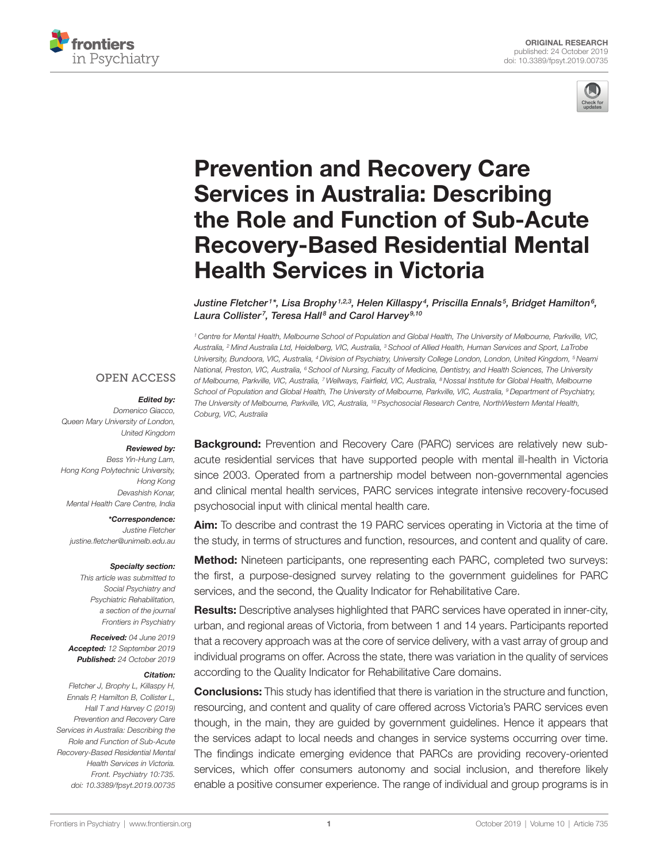



# [Prevention and Recovery Care](https://www.frontiersin.org/article/10.3389/fpsyt.2019.00735/full)  [Services in Australia: Describing](https://www.frontiersin.org/article/10.3389/fpsyt.2019.00735/full)  [the Role and Function of Sub-Acute](https://www.frontiersin.org/article/10.3389/fpsyt.2019.00735/full)  [Recovery-Based Residential Mental](https://www.frontiersin.org/article/10.3389/fpsyt.2019.00735/full)  [Health Services in Victoria](https://www.frontiersin.org/article/10.3389/fpsyt.2019.00735/full)

*[Justine Fletcher](https://loop.frontiersin.org/people/665418)1\*, [Lisa Brophy](https://loop.frontiersin.org/people/682037)1,2,3, [Helen Killaspy](https://loop.frontiersin.org/people/653178)4, [Priscilla Ennals](https://loop.frontiersin.org/people/738678)5, [Bridget Hamilton](https://loop.frontiersin.org/people/698856)6, [Laura Collister](https://loop.frontiersin.org/people/793078)7, [Teresa Hall](https://loop.frontiersin.org/people/743971)8 and [Carol Harvey](https://loop.frontiersin.org/people/652174)9,10*

*1 Centre for Mental Health, Melbourne School of Population and Global Health, The University of Melbourne, Parkville, VIC, Australia, 2 Mind Australia Ltd, Heidelberg, VIC, Australia, 3 School of Allied Health, Human Services and Sport, LaTrobe University, Bundoora, VIC, Australia, 4 Division of Psychiatry, University College London, London, United Kingdom, 5 Neami National, Preston, VIC, Australia, 6 School of Nursing, Faculty of Medicine, Dentistry, and Health Sciences, The University of Melbourne, Parkville, VIC, Australia, 7 Wellways, Fairfield, VIC, Australia, 8 Nossal Institute for Global Health, Melbourne School of Population and Global Health, The University of Melbourne, Parkville, VIC, Australia, 9 Department of Psychiatry, The University of Melbourne, Parkville, VIC, Australia, 10 Psychosocial Research Centre, NorthWestern Mental Health, Coburg, VIC, Australia*

### **OPEN ACCESS**

#### *Edited by:*

*Domenico Giacco, Queen Mary University of London, United Kingdom*

#### *Reviewed by:*

*Bess Yin-Hung Lam, Hong Kong Polytechnic University, Hong Kong Devashish Konar, Mental Health Care Centre, India*

*\*Correspondence: Justine Fletcher [justine.fletcher@unimelb.edu.au](mailto:justine.fletcher@unimelb.edu.au)*

#### *Specialty section:*

*This article was submitted to Social Psychiatry and Psychiatric Rehabilitation, a section of the journal Frontiers in Psychiatry*

*Received: 04 June 2019 Accepted: 12 September 2019 Published: 24 October 2019*

#### *Citation:*

*Fletcher J, Brophy L, Killaspy H, Ennals P, Hamilton B, Collister L, Hall T and Harvey C (2019) Prevention and Recovery Care Services in Australia: Describing the Role and Function of Sub-Acute Recovery-Based Residential Mental Health Services in Victoria. Front. Psychiatry 10:735. doi: [10.3389/fpsyt.2019.00735](https://doi.org/10.3389/fpsyt.2019.00735)* **Background:** Prevention and Recovery Care (PARC) services are relatively new subacute residential services that have supported people with mental ill-health in Victoria since 2003. Operated from a partnership model between non-governmental agencies and clinical mental health services, PARC services integrate intensive recovery-focused psychosocial input with clinical mental health care.

Aim: To describe and contrast the 19 PARC services operating in Victoria at the time of the study, in terms of structures and function, resources, and content and quality of care.

Method: Nineteen participants, one representing each PARC, completed two surveys: the first, a purpose-designed survey relating to the government guidelines for PARC services, and the second, the Quality Indicator for Rehabilitative Care.

Results: Descriptive analyses highlighted that PARC services have operated in inner-city, urban, and regional areas of Victoria, from between 1 and 14 years. Participants reported that a recovery approach was at the core of service delivery, with a vast array of group and individual programs on offer. Across the state, there was variation in the quality of services according to the Quality Indicator for Rehabilitative Care domains.

**Conclusions:** This study has identified that there is variation in the structure and function, resourcing, and content and quality of care offered across Victoria's PARC services even though, in the main, they are guided by government guidelines. Hence it appears that the services adapt to local needs and changes in service systems occurring over time. The findings indicate emerging evidence that PARCs are providing recovery-oriented services, which offer consumers autonomy and social inclusion, and therefore likely enable a positive consumer experience. The range of individual and group programs is in

1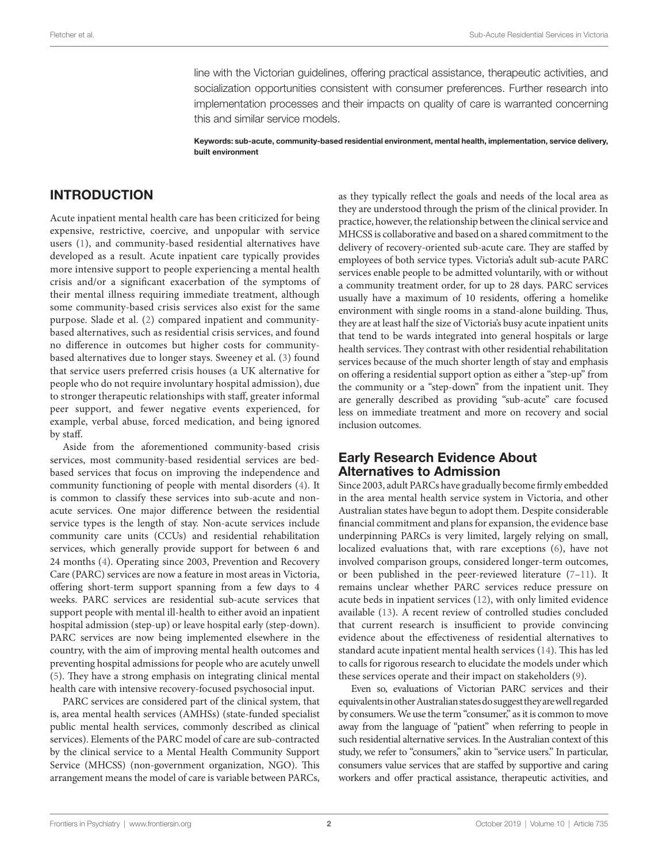line with the Victorian guidelines, offering practical assistance, therapeutic activities, and socialization opportunities consistent with consumer preferences. Further research into implementation processes and their impacts on quality of care is warranted concerning this and similar service models.

Keywords: sub-acute, community-based residential environment, mental health, implementation, service delivery, built environment

# INTRODUCTION

Acute inpatient mental health care has been criticized for being expensive, restrictive, coercive, and unpopular with service users [\(1\)](#page-10-0), and community-based residential alternatives have developed as a result. Acute inpatient care typically provides more intensive support to people experiencing a mental health crisis and/or a significant exacerbation of the symptoms of their mental illness requiring immediate treatment, although some community-based crisis services also exist for the same purpose. Slade et al. ([2](#page-10-1)) compared inpatient and communitybased alternatives, such as residential crisis services, and found no difference in outcomes but higher costs for communitybased alternatives due to longer stays. Sweeney et al. [\(3\)](#page-10-2) found that service users preferred crisis houses (a UK alternative for people who do not require involuntary hospital admission), due to stronger therapeutic relationships with staff, greater informal peer support, and fewer negative events experienced, for example, verbal abuse, forced medication, and being ignored by staff.

Aside from the aforementioned community-based crisis services, most community-based residential services are bedbased services that focus on improving the independence and community functioning of people with mental disorders [\(4\)](#page-10-3). It is common to classify these services into sub-acute and nonacute services. One major difference between the residential service types is the length of stay. Non-acute services include community care units (CCUs) and residential rehabilitation services, which generally provide support for between 6 and 24 months [\(4\)](#page-10-3). Operating since 2003, Prevention and Recovery Care (PARC) services are now a feature in most areas in Victoria, offering short-term support spanning from a few days to 4 weeks. PARC services are residential sub-acute services that support people with mental ill-health to either avoid an inpatient hospital admission (step-up) or leave hospital early (step-down). PARC services are now being implemented elsewhere in the country, with the aim of improving mental health outcomes and preventing hospital admissions for people who are acutely unwell [\(5\)](#page-10-4). They have a strong emphasis on integrating clinical mental health care with intensive recovery-focused psychosocial input.

PARC services are considered part of the clinical system, that is, area mental health services (AMHSs) (state-funded specialist public mental health services, commonly described as clinical services). Elements of the PARC model of care are sub-contracted by the clinical service to a Mental Health Community Support Service (MHCSS) (non-government organization, NGO). This arrangement means the model of care is variable between PARCs,

as they typically reflect the goals and needs of the local area as they are understood through the prism of the clinical provider. In practice, however, the relationship between the clinical service and MHCSS is collaborative and based on a shared commitment to the delivery of recovery-oriented sub-acute care. They are staffed by employees of both service types. Victoria's adult sub-acute PARC services enable people to be admitted voluntarily, with or without a community treatment order, for up to 28 days. PARC services usually have a maximum of 10 residents, offering a homelike environment with single rooms in a stand-alone building. Thus, they are at least half the size of Victoria's busy acute inpatient units that tend to be wards integrated into general hospitals or large health services. They contrast with other residential rehabilitation services because of the much shorter length of stay and emphasis on offering a residential support option as either a "step-up" from the community or a "step-down" from the inpatient unit. They are generally described as providing "sub-acute" care focused less on immediate treatment and more on recovery and social inclusion outcomes.

### Early Research Evidence About Alternatives to Admission

Since 2003, adult PARCs have gradually become firmly embedded in the area mental health service system in Victoria, and other Australian states have begun to adopt them. Despite considerable financial commitment and plans for expansion, the evidence base underpinning PARCs is very limited, largely relying on small, localized evaluations that, with rare exceptions ([6](#page-10-5)), have not involved comparison groups, considered longer-term outcomes, or been published in the peer-reviewed literature ([7–11\)](#page-10-6). It remains unclear whether PARC services reduce pressure on acute beds in inpatient services ([12](#page-10-7)), with only limited evidence available [\(13](#page-10-8)). A recent review of controlled studies concluded that current research is insufficient to provide convincing evidence about the effectiveness of residential alternatives to standard acute inpatient mental health services ([14\)](#page-10-9). This has led to calls for rigorous research to elucidate the models under which these services operate and their impact on stakeholders [\(9\)](#page-10-10).

Even so, evaluations of Victorian PARC services and their equivalents in other Australian states do suggest they are well regarded by consumers. We use the term "consumer," as it is common to move away from the language of "patient" when referring to people in such residential alternative services. In the Australian context of this study, we refer to "consumers," akin to "service users." In particular, consumers value services that are staffed by supportive and caring workers and offer practical assistance, therapeutic activities, and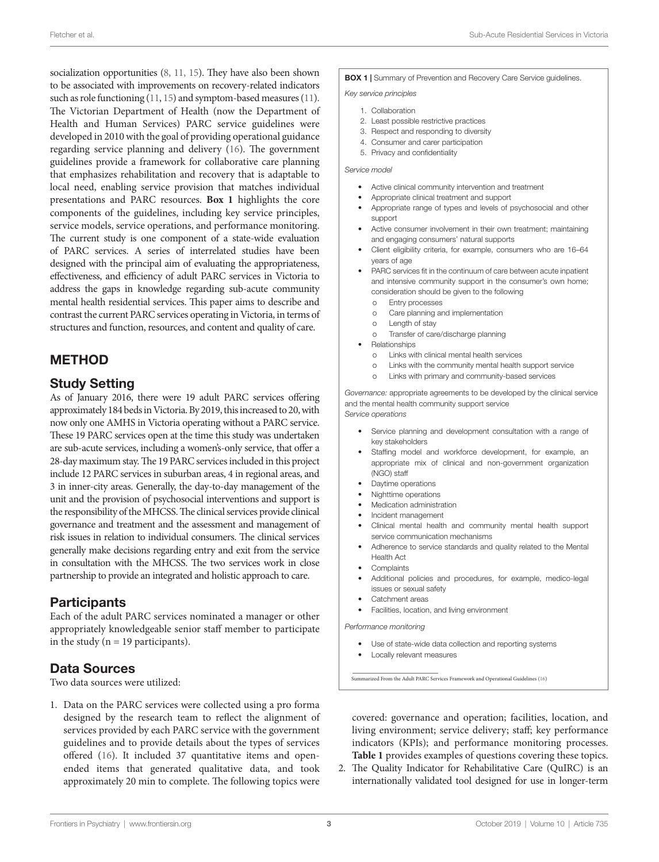socialization opportunities [\(8](#page-10-11), [11,](#page-10-6) [15](#page-10-12)). They have also been shown to be associated with improvements on recovery-related indicators such as role functioning [\(11,](#page-10-6) [15](#page-10-12)) and symptom-based measures [\(11\)](#page-10-6). The Victorian Department of Health (now the Department of Health and Human Services) PARC service guidelines were developed in 2010 with the goal of providing operational guidance regarding service planning and delivery [\(16](#page-10-13)). The government guidelines provide a framework for collaborative care planning that emphasizes rehabilitation and recovery that is adaptable to local need, enabling service provision that matches individual presentations and PARC resources. **[Box 1](#page-2-0)** highlights the core components of the guidelines, including key service principles, service models, service operations, and performance monitoring. The current study is one component of a state-wide evaluation of PARC services. A series of interrelated studies have been designed with the principal aim of evaluating the appropriateness, effectiveness, and efficiency of adult PARC services in Victoria to address the gaps in knowledge regarding sub-acute community mental health residential services. This paper aims to describe and contrast the current PARC services operating in Victoria, in terms of structures and function, resources, and content and quality of care.

# <span id="page-2-0"></span>METHOD

### Study Setting

As of January 2016, there were 19 adult PARC services offering approximately 184 beds in Victoria. By 2019, this increased to 20, with now only one AMHS in Victoria operating without a PARC service. These 19 PARC services open at the time this study was undertaken are sub-acute services, including a women's-only service, that offer a 28-day maximum stay. The 19 PARC services included in this project include 12 PARC services in suburban areas, 4 in regional areas, and 3 in inner-city areas. Generally, the day-to-day management of the unit and the provision of psychosocial interventions and support is the responsibility of the MHCSS. The clinical services provide clinical governance and treatment and the assessment and management of risk issues in relation to individual consumers. The clinical services generally make decisions regarding entry and exit from the service in consultation with the MHCSS. The two services work in close partnership to provide an integrated and holistic approach to care.

## **Participants**

Each of the adult PARC services nominated a manager or other appropriately knowledgeable senior staff member to participate in the study ( $n = 19$  participants).

## Data Sources

Two data sources were utilized:

1. Data on the PARC services were collected using a pro forma designed by the research team to reflect the alignment of services provided by each PARC service with the government guidelines and to provide details about the types of services offered ([16\)](#page-10-13). It included 37 quantitative items and openended items that generated qualitative data, and took approximately 20 min to complete. The following topics were

#### **BOX 1 | Summary of Prevention and Recovery Care Service quidelines.**

*Key service principles*

- 1. Collaboration
- 2. Least possible restrictive practices
- 3. Respect and responding to diversity
- 4. Consumer and carer participation
- 5. Privacy and confidentiality

*Service model*

- Active clinical community intervention and treatment
- Appropriate clinical treatment and support
- Appropriate range of types and levels of psychosocial and other support
- Active consumer involvement in their own treatment; maintaining and engaging consumers' natural supports
- Client eligibility criteria, for example, consumers who are 16–64 years of age
- PARC services fit in the continuum of care between acute inpatient and intensive community support in the consumer's own home; consideration should be given to the following
	- o Entry processes
	- o Care planning and implementation
	- o Length of stay
	- o Transfer of care/discharge planning
- Relationships
	- o Links with clinical mental health services
	- o Links with the community mental health support service
	- o Links with primary and community-based services

*Governance:* appropriate agreements to be developed by the clinical service and the mental health community support service *Service operations*

- Service planning and development consultation with a range of key stakeholders
- Staffing model and workforce development, for example, an appropriate mix of clinical and non-government organization (NGO) staff
- Daytime operations
- Nighttime operations
- Medication administration
- Incident management
- Clinical mental health and community mental health support service communication mechanisms
- Adherence to service standards and quality related to the Mental Health Act
- Complaints
- Additional policies and procedures, for example, medico-legal issues or sexual safety
- Catchment areas
- Facilities, location, and living environment

*Performance monitoring*

- Use of state-wide data collection and reporting systems
- Locally relevant measures

Summarized From the Adult PARC Services Framework and Operational Guidelines (16)

covered: governance and operation; facilities, location, and living environment; service delivery; staff; key performance indicators (KPIs); and performance monitoring processes. **[Table 1](#page-3-0)** provides examples of questions covering these topics.

2. The Quality Indicator for Rehabilitative Care (QuIRC) is an internationally validated tool designed for use in longer-term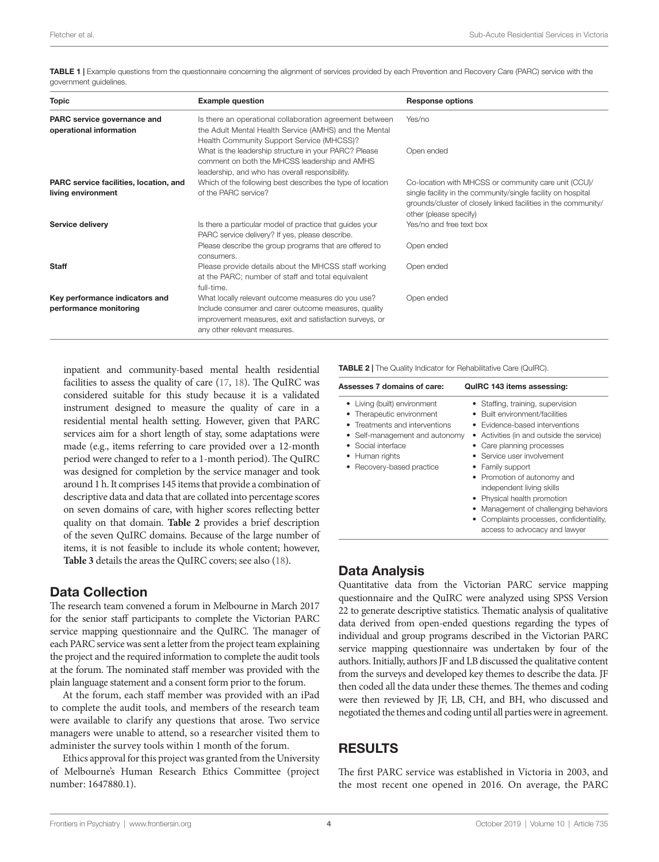TABLE 1 | Example questions from the questionnaire concerning the alignment of services provided by each Prevention and Recovery Care (PARC) service with the government guidelines.

| <b>Topic</b>                                                 | <b>Example question</b>                                                                                                                                                                               | <b>Response options</b>                                                                                                                                                                                          |
|--------------------------------------------------------------|-------------------------------------------------------------------------------------------------------------------------------------------------------------------------------------------------------|------------------------------------------------------------------------------------------------------------------------------------------------------------------------------------------------------------------|
| PARC service governance and<br>operational information       | Is there an operational collaboration agreement between<br>the Adult Mental Health Service (AMHS) and the Mental<br>Health Community Support Service (MHCSS)?                                         | Yes/no                                                                                                                                                                                                           |
|                                                              | What is the leadership structure in your PARC? Please<br>comment on both the MHCSS leadership and AMHS<br>leadership, and who has overall responsibility.                                             | Open ended                                                                                                                                                                                                       |
| PARC service facilities, location, and<br>living environment | Which of the following best describes the type of location<br>of the PARC service?                                                                                                                    | Co-location with MHCSS or community care unit (CCU)/<br>single facility in the community/single facility on hospital<br>grounds/cluster of closely linked facilities in the community/<br>other (please specify) |
| Service delivery                                             | Is there a particular model of practice that guides your<br>PARC service delivery? If yes, please describe.                                                                                           | Yes/no and free text box                                                                                                                                                                                         |
|                                                              | Please describe the group programs that are offered to<br>consumers.                                                                                                                                  | Open ended                                                                                                                                                                                                       |
| <b>Staff</b>                                                 | Please provide details about the MHCSS staff working<br>at the PARC; number of staff and total equivalent<br>full-time.                                                                               | Open ended                                                                                                                                                                                                       |
| Key performance indicators and<br>performance monitoring     | What locally relevant outcome measures do you use?<br>Include consumer and carer outcome measures, quality<br>improvement measures, exit and satisfaction surveys, or<br>any other relevant measures. | Open ended                                                                                                                                                                                                       |

inpatient and community-based mental health residential facilities to assess the quality of care [\(17,](#page-10-14) [18\)](#page-10-15). The QuIRC was considered suitable for this study because it is a validated instrument designed to measure the quality of care in a residential mental health setting. However, given that PARC services aim for a short length of stay, some adaptations were made (e.g., items referring to care provided over a 12-month period were changed to refer to a 1-month period). The QuIRC was designed for completion by the service manager and took around 1 h. It comprises 145 items that provide a combination of descriptive data and data that are collated into percentage scores on seven domains of care, with higher scores reflecting better quality on that domain. **[Table 2](#page-3-1)** provides a brief description of the seven QuIRC domains. Because of the large number of items, it is not feasible to include its whole content; however, **[Table 3](#page-4-0)** details the areas the QuIRC covers; see also [\(18\)](#page-10-15).

### <span id="page-3-0"></span>Data Collection

The research team convened a forum in Melbourne in March 2017 for the senior staff participants to complete the Victorian PARC service mapping questionnaire and the QuIRC. The manager of each PARC service was sent a letter from the project team explaining the project and the required information to complete the audit tools at the forum. The nominated staff member was provided with the plain language statement and a consent form prior to the forum.

At the forum, each staff member was provided with an iPad to complete the audit tools, and members of the research team were available to clarify any questions that arose. Two service managers were unable to attend, so a researcher visited them to administer the survey tools within 1 month of the forum.

Ethics approval for this project was granted from the University of Melbourne's Human Research Ethics Committee (project number: 1647880.1).

<span id="page-3-1"></span>TABLE 2 | The Quality Indicator for Rehabilitative Care (QuIRC).

| Assesses 7 domains of care:                                                                                                                                                                  | QuIRC 143 items assessing:                                                                                                                                                                                                                                                                                                                                                                                                                       |
|----------------------------------------------------------------------------------------------------------------------------------------------------------------------------------------------|--------------------------------------------------------------------------------------------------------------------------------------------------------------------------------------------------------------------------------------------------------------------------------------------------------------------------------------------------------------------------------------------------------------------------------------------------|
| • Living (built) environment<br>Therapeutic environment<br>Treatments and interventions<br>• Self-management and autonomy<br>• Social interface<br>• Human rights<br>Recovery-based practice | • Staffing, training, supervision<br>Built environment/facilities<br>• Evidence-based interventions<br>• Activities (in and outside the service)<br>• Care planning processes<br>• Service user involvement<br>• Family support<br>• Promotion of autonomy and<br>independent living skills<br>• Physical health promotion<br>• Management of challenging behaviors<br>• Complaints processes, confidentiality,<br>access to advocacy and lawyer |
|                                                                                                                                                                                              |                                                                                                                                                                                                                                                                                                                                                                                                                                                  |

### Data Analysis

Quantitative data from the Victorian PARC service mapping questionnaire and the QuIRC were analyzed using SPSS Version 22 to generate descriptive statistics. Thematic analysis of qualitative data derived from open-ended questions regarding the types of individual and group programs described in the Victorian PARC service mapping questionnaire was undertaken by four of the authors. Initially, authors JF and LB discussed the qualitative content from the surveys and developed key themes to describe the data. JF then coded all the data under these themes. The themes and coding were then reviewed by JF, LB, CH, and BH, who discussed and negotiated the themes and coding until all parties were in agreement.

## RESULTS

The first PARC service was established in Victoria in 2003, and the most recent one opened in 2016. On average, the PARC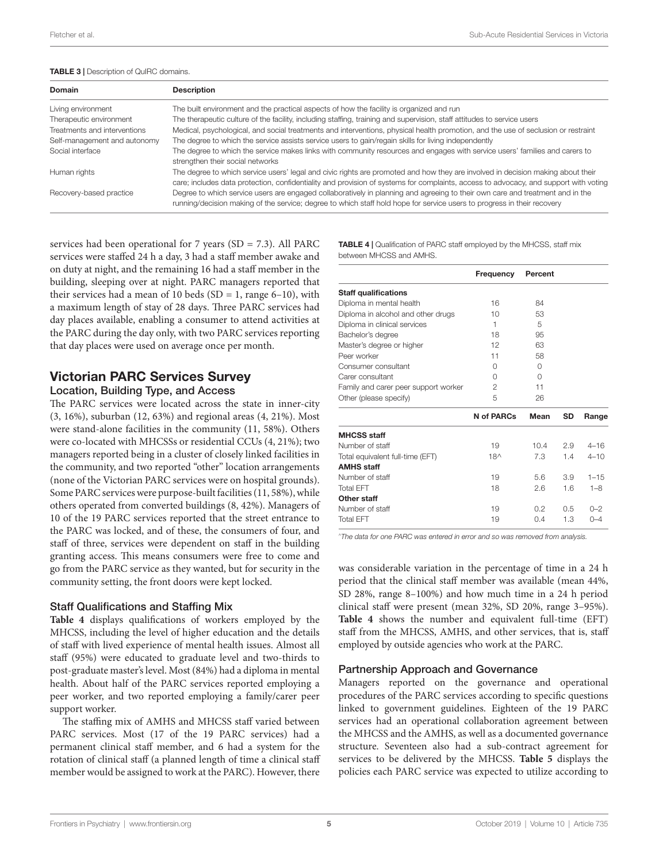#### <span id="page-4-0"></span>TABLE 3 | Description of QuIRC domains.

| Domain                       | <b>Description</b>                                                                                                                                                                                                                                                      |
|------------------------------|-------------------------------------------------------------------------------------------------------------------------------------------------------------------------------------------------------------------------------------------------------------------------|
| Living environment           | The built environment and the practical aspects of how the facility is organized and run                                                                                                                                                                                |
| Therapeutic environment      | The therapeutic culture of the facility, including staffing, training and supervision, staff attitudes to service users                                                                                                                                                 |
| Treatments and interventions | Medical, psychological, and social treatments and interventions, physical health promotion, and the use of seclusion or restraint                                                                                                                                       |
| Self-management and autonomy | The degree to which the service assists service users to gain/regain skills for living independently                                                                                                                                                                    |
| Social interface             | The degree to which the service makes links with community resources and engages with service users' families and carers to<br>strengthen their social networks                                                                                                         |
| Human rights                 | The degree to which service users' legal and civic rights are promoted and how they are involved in decision making about their<br>care; includes data protection, confidentiality and provision of systems for complaints, access to advocacy, and support with voting |
| Recovery-based practice      | Degree to which service users are engaged collaboratively in planning and agreeing to their own care and treatment and in the<br>running/decision making of the service; degree to which staff hold hope for service users to progress in their recovery                |

services had been operational for 7 years ( $SD = 7.3$ ). All PARC services were staffed 24 h a day, 3 had a staff member awake and on duty at night, and the remaining 16 had a staff member in the building, sleeping over at night. PARC managers reported that their services had a mean of 10 beds (SD = 1, range 6–10), with a maximum length of stay of 28 days. Three PARC services had day places available, enabling a consumer to attend activities at the PARC during the day only, with two PARC services reporting that day places were used on average once per month.

# Victorian PARC Services Survey

#### Location, Building Type, and Access

The PARC services were located across the state in inner-city (3, 16%), suburban (12, 63%) and regional areas (4, 21%). Most were stand-alone facilities in the community (11, 58%). Others were co-located with MHCSSs or residential CCUs (4, 21%); two managers reported being in a cluster of closely linked facilities in the community, and two reported "other" location arrangements (none of the Victorian PARC services were on hospital grounds). Some PARC services were purpose-built facilities (11, 58%), while others operated from converted buildings (8, 42%). Managers of 10 of the 19 PARC services reported that the street entrance to the PARC was locked, and of these, the consumers of four, and staff of three, services were dependent on staff in the building granting access. This means consumers were free to come and go from the PARC service as they wanted, but for security in the community setting, the front doors were kept locked.

#### Staff Qualifications and Staffing Mix

**[Table 4](#page-4-1)** displays qualifications of workers employed by the MHCSS, including the level of higher education and the details of staff with lived experience of mental health issues. Almost all staff (95%) were educated to graduate level and two-thirds to post-graduate master's level. Most (84%) had a diploma in mental health. About half of the PARC services reported employing a peer worker, and two reported employing a family/carer peer support worker.

<span id="page-4-1"></span>The staffing mix of AMHS and MHCSS staff varied between PARC services. Most (17 of the 19 PARC services) had a permanent clinical staff member, and 6 had a system for the rotation of clinical staff (a planned length of time a clinical staff member would be assigned to work at the PARC). However, there TABLE 4 | Qualification of PARC staff employed by the MHCSS, staff mix between MHCSS and AMHS.

|                                      | Frequency      | Percent  |           |          |
|--------------------------------------|----------------|----------|-----------|----------|
| <b>Staff qualifications</b>          |                |          |           |          |
| Diploma in mental health             | 16             | 84       |           |          |
| Diploma in alcohol and other drugs   | 10             | 53       |           |          |
| Diploma in clinical services         | 1              | 5        |           |          |
| Bachelor's degree                    | 18             | 95       |           |          |
| Master's degree or higher            | 12             | 63       |           |          |
| Peer worker                          | 11             | 58       |           |          |
| Consumer consultant                  | $\Omega$       | $\Omega$ |           |          |
| Carer consultant                     | $\Omega$       | $\Omega$ |           |          |
| Family and carer peer support worker | $\mathfrak{p}$ | 11       |           |          |
| Other (please specify)               | 5              | 26       |           |          |
|                                      | N of PARCs     | Mean     | <b>SD</b> | Range    |
| <b>MHCSS staff</b>                   |                |          |           |          |
| Number of staff                      | 19             | 10.4     | 2.9       | $4 - 16$ |
| Total equivalent full-time (EFT)     | $18^$          | 7.3      | 1.4       | $4 - 10$ |
| <b>AMHS staff</b>                    |                |          |           |          |
| Number of staff                      | 19             | 5.6      | 3.9       | $1 - 15$ |
| <b>Total EFT</b>                     | 18             | 2.6      | 1.6       | $1 - 8$  |
| Other staff                          |                |          |           |          |
| Number of staff                      | 19             | 0.2      | 0.5       | $0 - 2$  |
| <b>Total EFT</b>                     | 19             | 0.4      | 1.3       | $0 - 4$  |

*^The data for one PARC was entered in error and so was removed from analysis.*

was considerable variation in the percentage of time in a 24 h period that the clinical staff member was available (mean 44%, SD 28%, range 8–100%) and how much time in a 24 h period clinical staff were present (mean 32%, SD 20%, range 3–95%). **[Table 4](#page-4-1)** shows the number and equivalent full-time (EFT) staff from the MHCSS, AMHS, and other services, that is, staff employed by outside agencies who work at the PARC.

#### Partnership Approach and Governance

Managers reported on the governance and operational procedures of the PARC services according to specific questions linked to government guidelines. Eighteen of the 19 PARC services had an operational collaboration agreement between the MHCSS and the AMHS, as well as a documented governance structure. Seventeen also had a sub-contract agreement for services to be delivered by the MHCSS. **[Table 5](#page-5-0)** displays the policies each PARC service was expected to utilize according to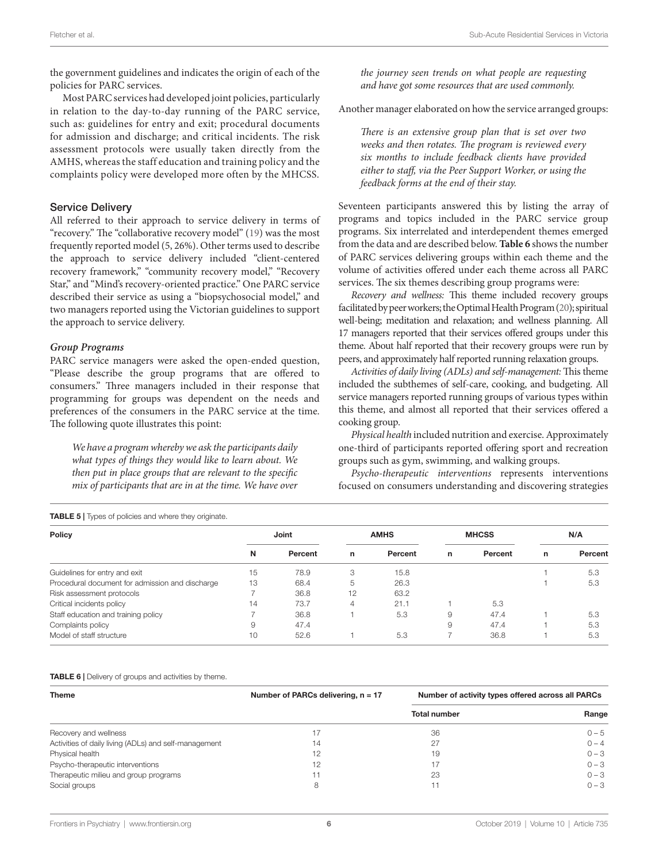the government guidelines and indicates the origin of each of the policies for PARC services.

<span id="page-5-0"></span>Most PARC services had developed joint policies, particularly in relation to the day-to-day running of the PARC service, such as: guidelines for entry and exit; procedural documents for admission and discharge; and critical incidents. The risk assessment protocols were usually taken directly from the AMHS, whereas the staff education and training policy and the complaints policy were developed more often by the MHCSS.

#### Service Delivery

All referred to their approach to service delivery in terms of "recovery." The "collaborative recovery model" [\(19](#page-10-16)) was the most frequently reported model (5, 26%). Other terms used to describe the approach to service delivery included "client-centered recovery framework," "community recovery model," "Recovery Star," and "Mind's recovery-oriented practice." One PARC service described their service as using a "biopsychosocial model," and two managers reported using the Victorian guidelines to support the approach to service delivery.

#### *Group Programs*

PARC service managers were asked the open-ended question, "Please describe the group programs that are offered to consumers." Three managers included in their response that programming for groups was dependent on the needs and preferences of the consumers in the PARC service at the time. The following quote illustrates this point:

*We have a program whereby we ask the participants daily what types of things they would like to learn about. We then put in place groups that are relevant to the specific mix of participants that are in at the time. We have over*  *the journey seen trends on what people are requesting and have got some resources that are used commonly.*

Another manager elaborated on how the service arranged groups:

*There is an extensive group plan that is set over two weeks and then rotates. The program is reviewed every six months to include feedback clients have provided either to staff, via the Peer Support Worker, or using the feedback forms at the end of their stay.*

Seventeen participants answered this by listing the array of programs and topics included in the PARC service group programs. Six interrelated and interdependent themes emerged from the data and are described below. **[Table 6](#page-5-1)** shows the number of PARC services delivering groups within each theme and the volume of activities offered under each theme across all PARC services. The six themes describing group programs were:

<span id="page-5-1"></span>*Recovery and wellness:* This theme included recovery groups facilitated by peer workers; the Optimal Health Program [\(20](#page-10-17)); spiritual well-being; meditation and relaxation; and wellness planning. All 17 managers reported that their services offered groups under this theme. About half reported that their recovery groups were run by peers, and approximately half reported running relaxation groups.

*Activities of daily living (ADLs) and self-management:* This theme included the subthemes of self-care, cooking, and budgeting. All service managers reported running groups of various types within this theme, and almost all reported that their services offered a cooking group.

*Physical health* included nutrition and exercise. Approximately one-third of participants reported offering sport and recreation groups such as gym, swimming, and walking groups.

*Psycho-therapeutic interventions* represents interventions focused on consumers understanding and discovering strategies

| <b>TABLE 5</b>   Types of policies and where they originate. |    |         |                |             |   |              |   |         |  |
|--------------------------------------------------------------|----|---------|----------------|-------------|---|--------------|---|---------|--|
| Policy                                                       |    | Joint   |                | <b>AMHS</b> |   | <b>MHCSS</b> |   | N/A     |  |
|                                                              | N  | Percent | n              | Percent     | n | Percent      | n | Percent |  |
| Guidelines for entry and exit                                | 15 | 78.9    | 3              | 15.8        |   |              |   | 5.3     |  |
| Procedural document for admission and discharge              | 13 | 68.4    | 5              | 26.3        |   |              |   | 5.3     |  |
| Risk assessment protocols                                    |    | 36.8    | 12             | 63.2        |   |              |   |         |  |
| Critical incidents policy                                    | 14 | 73.7    | $\overline{4}$ | 21.1        |   | 5.3          |   |         |  |
| Staff education and training policy                          |    | 36.8    |                | 5.3         | 9 | 47.4         |   | 5.3     |  |
| Complaints policy                                            | 9  | 47.4    |                |             | 9 | 47.4         |   | 5.3     |  |
| Model of staff structure                                     | 10 | 52.6    |                | 5.3         |   | 36.8         |   | 5.3     |  |

### TABLE 6 | Delivery of groups and activities by theme.

| <b>Theme</b>                                          | Number of PARCs delivering, $n = 17$ | Number of activity types offered across all PARCs |         |  |
|-------------------------------------------------------|--------------------------------------|---------------------------------------------------|---------|--|
|                                                       |                                      | <b>Total number</b>                               | Range   |  |
| Recovery and wellness                                 |                                      | 36                                                | $0 - 5$ |  |
| Activities of daily living (ADLs) and self-management | 14                                   | 27                                                | $0 - 4$ |  |
| Physical health                                       | 12                                   | 19                                                | $0 - 3$ |  |
| Psycho-therapeutic interventions                      | 12                                   |                                                   | $0 - 3$ |  |
| Therapeutic milieu and group programs                 |                                      | 23                                                | $0 - 3$ |  |
| Social groups                                         | 8                                    |                                                   | $0 - 3$ |  |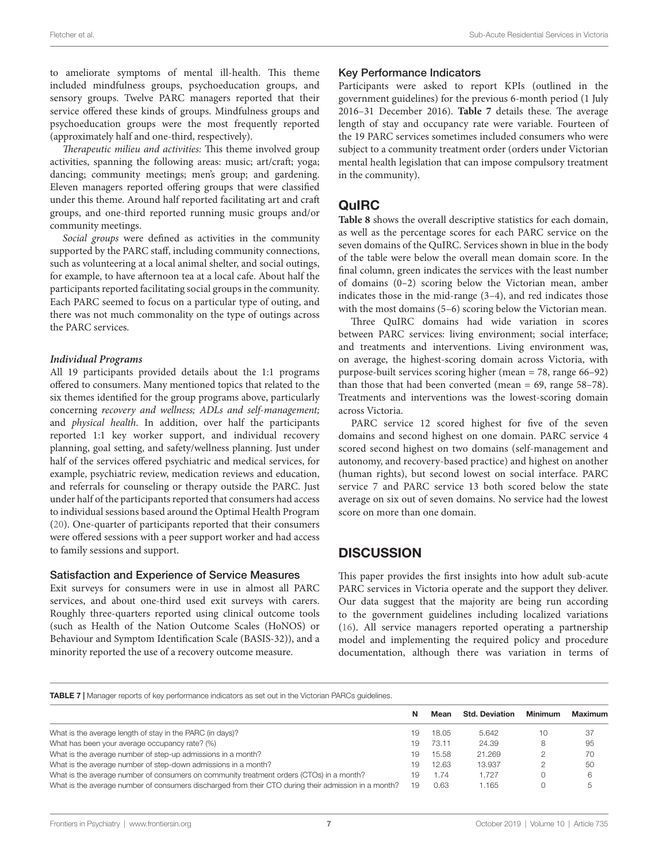to ameliorate symptoms of mental ill-health. This theme included mindfulness groups, psychoeducation groups, and sensory groups. Twelve PARC managers reported that their service offered these kinds of groups. Mindfulness groups and psychoeducation groups were the most frequently reported (approximately half and one-third, respectively).

*Therapeutic milieu and activities:* This theme involved group activities, spanning the following areas: music; art/craft; yoga; dancing; community meetings; men's group; and gardening. Eleven managers reported offering groups that were classified under this theme. Around half reported facilitating art and craft groups, and one-third reported running music groups and/or community meetings.

*Social groups* were defined as activities in the community supported by the PARC staff, including community connections, such as volunteering at a local animal shelter, and social outings, for example, to have afternoon tea at a local cafe. About half the participants reported facilitating social groups in the community. Each PARC seemed to focus on a particular type of outing, and there was not much commonality on the type of outings across the PARC services.

#### *Individual Programs*

All 19 participants provided details about the 1:1 programs offered to consumers. Many mentioned topics that related to the six themes identified for the group programs above, particularly concerning *recovery and wellness; ADLs and self-management;* and *physical health*. In addition, over half the participants reported 1:1 key worker support, and individual recovery planning, goal setting, and safety/wellness planning. Just under half of the services offered psychiatric and medical services, for example, psychiatric review, medication reviews and education, and referrals for counseling or therapy outside the PARC. Just under half of the participants reported that consumers had access to individual sessions based around the Optimal Health Program [\(20](#page-10-17)). One-quarter of participants reported that their consumers were offered sessions with a peer support worker and had access to family sessions and support.

#### Satisfaction and Experience of Service Measures

Exit surveys for consumers were in use in almost all PARC services, and about one-third used exit surveys with carers. Roughly three-quarters reported using clinical outcome tools (such as Health of the Nation Outcome Scales (HoNOS) or Behaviour and Symptom Identification Scale (BASIS-32)), and a minority reported the use of a recovery outcome measure.

#### Key Performance Indicators

Participants were asked to report KPIs (outlined in the government guidelines) for the previous 6-month period (1 July 2016–31 December 2016). **[Table 7](#page-6-0)** details these. The average length of stay and occupancy rate were variable. Fourteen of the 19 PARC services sometimes included consumers who were subject to a community treatment order (orders under Victorian mental health legislation that can impose compulsory treatment in the community).

### QuIRC

**[Table 8](#page-6-0)** shows the overall descriptive statistics for each domain, as well as the percentage scores for each PARC service on the seven domains of the QuIRC. Services shown in blue in the body of the table were below the overall mean domain score. In the final column, green indicates the services with the least number of domains (0–2) scoring below the Victorian mean, amber indicates those in the mid-range (3–4), and red indicates those with the most domains (5–6) scoring below the Victorian mean.

Three QuIRC domains had wide variation in scores between PARC services: living environment; social interface; and treatments and interventions. Living environment was, on average, the highest-scoring domain across Victoria, with purpose-built services scoring higher (mean = 78, range 66–92) than those that had been converted (mean = 69, range 58–78). Treatments and interventions was the lowest-scoring domain across Victoria.

PARC service 12 scored highest for five of the seven domains and second highest on one domain. PARC service 4 scored second highest on two domains (self-management and autonomy, and recovery-based practice) and highest on another (human rights), but second lowest on social interface. PARC service 7 and PARC service 13 both scored below the state average on six out of seven domains. No service had the lowest score on more than one domain.

### **DISCUSSION**

This paper provides the first insights into how adult sub-acute PARC services in Victoria operate and the support they deliver. Our data suggest that the majority are being run according to the government guidelines including localized variations [\(16](#page-10-13)). All service managers reported operating a partnership model and implementing the required policy and procedure documentation, although there was variation in terms of

<span id="page-6-0"></span>TABLE 7 | Manager reports of key performance indicators as set out in the Victorian PARCs guidelines.

|                                                                                                      | N   | Mean  | <b>Std. Deviation</b> | <b>Minimum</b> | Maximum |
|------------------------------------------------------------------------------------------------------|-----|-------|-----------------------|----------------|---------|
| What is the average length of stay in the PARC (in days)?                                            | 19. | 18.05 | 5.642                 | 10             | 37      |
| What has been your average occupancy rate? (%)                                                       | 19. | 73.11 | 24.39                 | 8              | 95      |
| What is the average number of step-up admissions in a month?                                         | 19. | 15.58 | 21.269                |                | 70      |
| What is the average number of step-down admissions in a month?                                       | 19. | 12.63 | 13.937                |                | 50      |
| What is the average number of consumers on community treatment orders (CTOs) in a month?             | 19  | 1.74  | 1.727                 | 0              | 6       |
| What is the average number of consumers discharged from their CTO during their admission in a month? | 19  | 0.63  | 1.165                 | 0              | 5       |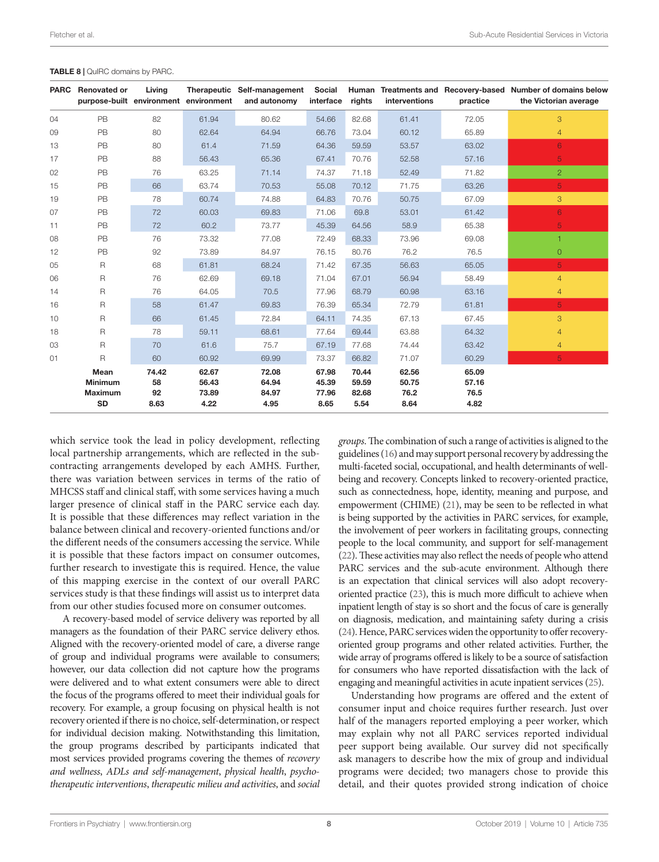|    | <b>PARC</b> Renovated or<br>purpose-built environment environment | Living                    |                                 | Therapeutic Self-management<br>and autonomy | Social<br>interface             | rights                          | interventions                  | practice                       | Human Treatments and Recovery-based Number of domains below<br>the Victorian average |
|----|-------------------------------------------------------------------|---------------------------|---------------------------------|---------------------------------------------|---------------------------------|---------------------------------|--------------------------------|--------------------------------|--------------------------------------------------------------------------------------|
| 04 | PB                                                                | 82                        | 61.94                           | 80.62                                       | 54.66                           | 82.68                           | 61.41                          | 72.05                          | 3                                                                                    |
| 09 | <b>PB</b>                                                         | 80                        | 62.64                           | 64.94                                       | 66.76                           | 73.04                           | 60.12                          | 65.89                          | 4                                                                                    |
| 13 | PB                                                                | 80                        | 61.4                            | 71.59                                       | 64.36                           | 59.59                           | 53.57                          | 63.02                          | 6                                                                                    |
| 17 | <b>PB</b>                                                         | 88                        | 56.43                           | 65.36                                       | 67.41                           | 70.76                           | 52.58                          | 57.16                          | 5                                                                                    |
| 02 | <b>PB</b>                                                         | 76                        | 63.25                           | 71.14                                       | 74.37                           | 71.18                           | 52.49                          | 71.82                          | $\overline{2}$                                                                       |
| 15 | <b>PB</b>                                                         | 66                        | 63.74                           | 70.53                                       | 55.08                           | 70.12                           | 71.75                          | 63.26                          | 5                                                                                    |
| 19 | <b>PB</b>                                                         | 78                        | 60.74                           | 74.88                                       | 64.83                           | 70.76                           | 50.75                          | 67.09                          | 3                                                                                    |
| 07 | PB                                                                | 72                        | 60.03                           | 69.83                                       | 71.06                           | 69.8                            | 53.01                          | 61.42                          | 6                                                                                    |
| 11 | PB                                                                | 72                        | 60.2                            | 73.77                                       | 45.39                           | 64.56                           | 58.9                           | 65.38                          | 5                                                                                    |
| 08 | <b>PB</b>                                                         | 76                        | 73.32                           | 77.08                                       | 72.49                           | 68.33                           | 73.96                          | 69.08                          | 1                                                                                    |
| 12 | PB                                                                | 92                        | 73.89                           | 84.97                                       | 76.15                           | 80.76                           | 76.2                           | 76.5                           | $\overline{0}$                                                                       |
| 05 | $\mathsf{R}$                                                      | 68                        | 61.81                           | 68.24                                       | 71.42                           | 67.35                           | 56.63                          | 65.05                          | 5                                                                                    |
| 06 | $\mathsf{R}$                                                      | 76                        | 62.69                           | 69.18                                       | 71.04                           | 67.01                           | 56.94                          | 58.49                          | $\overline{4}$                                                                       |
| 14 | $\mathsf{R}$                                                      | 76                        | 64.05                           | 70.5                                        | 77.96                           | 68.79                           | 60.98                          | 63.16                          | 4                                                                                    |
| 16 | R                                                                 | 58                        | 61.47                           | 69.83                                       | 76.39                           | 65.34                           | 72.79                          | 61.81                          | 5                                                                                    |
| 10 | $\mathsf{R}$                                                      | 66                        | 61.45                           | 72.84                                       | 64.11                           | 74.35                           | 67.13                          | 67.45                          | 3                                                                                    |
| 18 | $\mathsf{R}$                                                      | 78                        | 59.11                           | 68.61                                       | 77.64                           | 69.44                           | 63.88                          | 64.32                          | 4                                                                                    |
| 03 | $\mathsf{R}$                                                      | 70                        | 61.6                            | 75.7                                        | 67.19                           | 77.68                           | 74.44                          | 63.42                          | 4                                                                                    |
| 01 | $\mathsf{R}$                                                      | 60                        | 60.92                           | 69.99                                       | 73.37                           | 66.82                           | 71.07                          | 60.29                          | 5                                                                                    |
|    | Mean<br><b>Minimum</b><br><b>Maximum</b><br><b>SD</b>             | 74.42<br>58<br>92<br>8.63 | 62.67<br>56.43<br>73.89<br>4.22 | 72.08<br>64.94<br>84.97<br>4.95             | 67.98<br>45.39<br>77.96<br>8.65 | 70.44<br>59.59<br>82.68<br>5.54 | 62.56<br>50.75<br>76.2<br>8.64 | 65.09<br>57.16<br>76.5<br>4.82 |                                                                                      |

TABLE 8 | QuIRC domains by PARC.

which service took the lead in policy development, reflecting local partnership arrangements, which are reflected in the subcontracting arrangements developed by each AMHS. Further, there was variation between services in terms of the ratio of MHCSS staff and clinical staff, with some services having a much larger presence of clinical staff in the PARC service each day. It is possible that these differences may reflect variation in the balance between clinical and recovery-oriented functions and/or the different needs of the consumers accessing the service. While it is possible that these factors impact on consumer outcomes, further research to investigate this is required. Hence, the value of this mapping exercise in the context of our overall PARC services study is that these findings will assist us to interpret data from our other studies focused more on consumer outcomes.

A recovery-based model of service delivery was reported by all managers as the foundation of their PARC service delivery ethos. Aligned with the recovery-oriented model of care, a diverse range of group and individual programs were available to consumers; however, our data collection did not capture how the programs were delivered and to what extent consumers were able to direct the focus of the programs offered to meet their individual goals for recovery. For example, a group focusing on physical health is not recovery oriented if there is no choice, self-determination, or respect for individual decision making. Notwithstanding this limitation, the group programs described by participants indicated that most services provided programs covering the themes of *recovery and wellness*, *ADLs and self-management*, *physical health*, *psychotherapeutic interventions*, *therapeutic milieu and activities*, and *social*  *groups*. The combination of such a range of activities is aligned to the guidelines [\(16\)](#page-10-13) and may support personal recovery by addressing the multi-faceted social, occupational, and health determinants of wellbeing and recovery. Concepts linked to recovery-oriented practice, such as connectedness, hope, identity, meaning and purpose, and empowerment (CHIME) [\(21\)](#page-10-18), may be seen to be reflected in what is being supported by the activities in PARC services, for example, the involvement of peer workers in facilitating groups, connecting people to the local community, and support for self-management [\(22\)](#page-10-19). These activities may also reflect the needs of people who attend PARC services and the sub-acute environment. Although there is an expectation that clinical services will also adopt recoveryoriented practice [\(23\)](#page-10-20), this is much more difficult to achieve when inpatient length of stay is so short and the focus of care is generally on diagnosis, medication, and maintaining safety during a crisis [\(24\)](#page-10-21). Hence, PARC services widen the opportunity to offer recoveryoriented group programs and other related activities. Further, the wide array of programs offered is likely to be a source of satisfaction for consumers who have reported dissatisfaction with the lack of engaging and meaningful activities in acute inpatient services ([25\)](#page-10-22).

Understanding how programs are offered and the extent of consumer input and choice requires further research. Just over half of the managers reported employing a peer worker, which may explain why not all PARC services reported individual peer support being available. Our survey did not specifically ask managers to describe how the mix of group and individual programs were decided; two managers chose to provide this detail, and their quotes provided strong indication of choice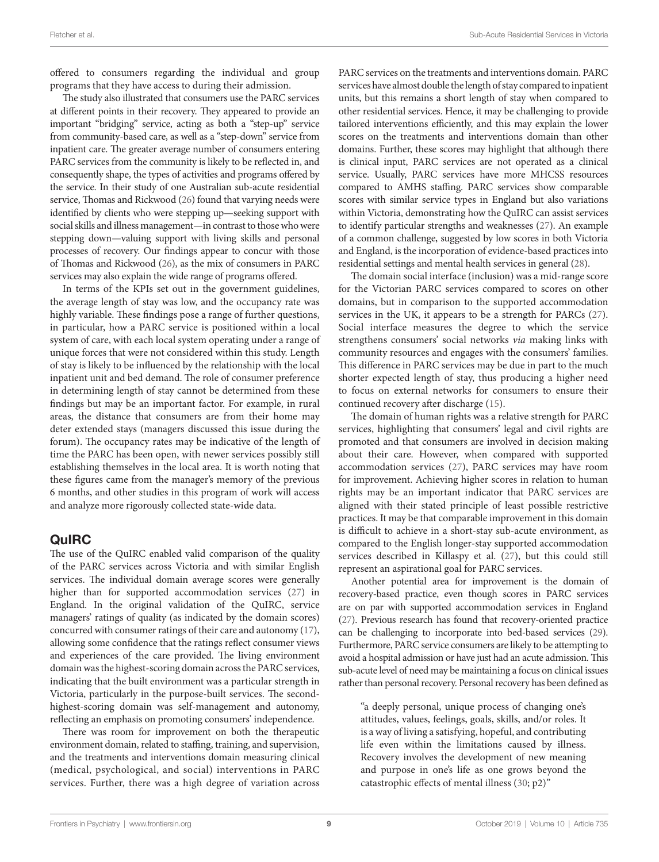offered to consumers regarding the individual and group programs that they have access to during their admission.

The study also illustrated that consumers use the PARC services at different points in their recovery. They appeared to provide an important "bridging" service, acting as both a "step-up" service from community-based care, as well as a "step-down" service from inpatient care. The greater average number of consumers entering PARC services from the community is likely to be reflected in, and consequently shape, the types of activities and programs offered by the service. In their study of one Australian sub-acute residential service, Thomas and Rickwood [\(26](#page-10-23)) found that varying needs were identified by clients who were stepping up—seeking support with social skills and illness management—in contrast to those who were stepping down—valuing support with living skills and personal processes of recovery. Our findings appear to concur with those of Thomas and Rickwood [\(26](#page-10-23)), as the mix of consumers in PARC services may also explain the wide range of programs offered.

In terms of the KPIs set out in the government guidelines, the average length of stay was low, and the occupancy rate was highly variable. These findings pose a range of further questions, in particular, how a PARC service is positioned within a local system of care, with each local system operating under a range of unique forces that were not considered within this study. Length of stay is likely to be influenced by the relationship with the local inpatient unit and bed demand. The role of consumer preference in determining length of stay cannot be determined from these findings but may be an important factor. For example, in rural areas, the distance that consumers are from their home may deter extended stays (managers discussed this issue during the forum). The occupancy rates may be indicative of the length of time the PARC has been open, with newer services possibly still establishing themselves in the local area. It is worth noting that these figures came from the manager's memory of the previous 6 months, and other studies in this program of work will access and analyze more rigorously collected state-wide data.

### QuIRC

The use of the QuIRC enabled valid comparison of the quality of the PARC services across Victoria and with similar English services. The individual domain average scores were generally higher than for supported accommodation services [\(27](#page-10-24)) in England. In the original validation of the QuIRC, service managers' ratings of quality (as indicated by the domain scores) concurred with consumer ratings of their care and autonomy [\(17](#page-10-14)), allowing some confidence that the ratings reflect consumer views and experiences of the care provided. The living environment domain was the highest-scoring domain across the PARC services, indicating that the built environment was a particular strength in Victoria, particularly in the purpose-built services. The secondhighest-scoring domain was self-management and autonomy, reflecting an emphasis on promoting consumers' independence.

There was room for improvement on both the therapeutic environment domain, related to staffing, training, and supervision, and the treatments and interventions domain measuring clinical (medical, psychological, and social) interventions in PARC services. Further, there was a high degree of variation across PARC services on the treatments and interventions domain. PARC services have almost double the length of stay compared to inpatient units, but this remains a short length of stay when compared to other residential services. Hence, it may be challenging to provide tailored interventions efficiently, and this may explain the lower scores on the treatments and interventions domain than other domains. Further, these scores may highlight that although there is clinical input, PARC services are not operated as a clinical service. Usually, PARC services have more MHCSS resources compared to AMHS staffing. PARC services show comparable scores with similar service types in England but also variations within Victoria, demonstrating how the QuIRC can assist services to identify particular strengths and weaknesses ([27\)](#page-10-24). An example of a common challenge, suggested by low scores in both Victoria and England, is the incorporation of evidence-based practices into residential settings and mental health services in general [\(28\)](#page-10-25).

The domain social interface (inclusion) was a mid-range score for the Victorian PARC services compared to scores on other domains, but in comparison to the supported accommodation services in the UK, it appears to be a strength for PARCs [\(27](#page-10-24)). Social interface measures the degree to which the service strengthens consumers' social networks *via* making links with community resources and engages with the consumers' families. This difference in PARC services may be due in part to the much shorter expected length of stay, thus producing a higher need to focus on external networks for consumers to ensure their continued recovery after discharge [\(15](#page-10-12)).

The domain of human rights was a relative strength for PARC services, highlighting that consumers' legal and civil rights are promoted and that consumers are involved in decision making about their care. However, when compared with supported accommodation services ([27\)](#page-10-24), PARC services may have room for improvement. Achieving higher scores in relation to human rights may be an important indicator that PARC services are aligned with their stated principle of least possible restrictive practices. It may be that comparable improvement in this domain is difficult to achieve in a short-stay sub-acute environment, as compared to the English longer-stay supported accommodation services described in Killaspy et al. ([27](#page-10-24)), but this could still represent an aspirational goal for PARC services.

Another potential area for improvement is the domain of recovery-based practice, even though scores in PARC services are on par with supported accommodation services in England [\(27\)](#page-10-24). Previous research has found that recovery-oriented practice can be challenging to incorporate into bed-based services ([29](#page-10-26)). Furthermore, PARC service consumers are likely to be attempting to avoid a hospital admission or have just had an acute admission. This sub-acute level of need may be maintaining a focus on clinical issues rather than personal recovery. Personal recovery has been defined as

"a deeply personal, unique process of changing one's attitudes, values, feelings, goals, skills, and/or roles. It is a way of living a satisfying, hopeful, and contributing life even within the limitations caused by illness. Recovery involves the development of new meaning and purpose in one's life as one grows beyond the catastrophic effects of mental illness [\(30;](#page-10-27) p2)"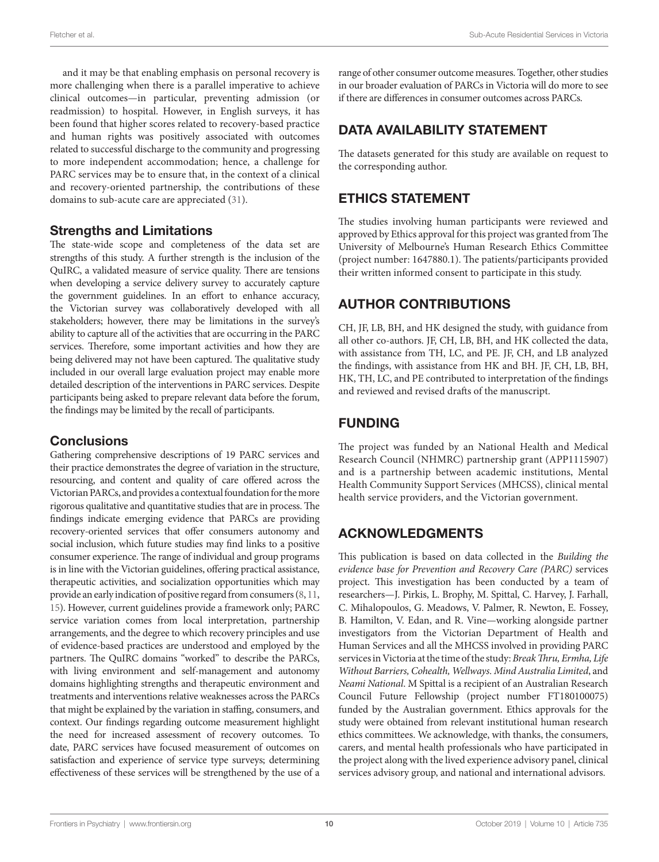and it may be that enabling emphasis on personal recovery is more challenging when there is a parallel imperative to achieve clinical outcomes—in particular, preventing admission (or readmission) to hospital. However, in English surveys, it has been found that higher scores related to recovery-based practice and human rights was positively associated with outcomes related to successful discharge to the community and progressing to more independent accommodation; hence, a challenge for PARC services may be to ensure that, in the context of a clinical and recovery-oriented partnership, the contributions of these domains to sub-acute care are appreciated [\(31](#page-10-28)).

### Strengths and Limitations

The state-wide scope and completeness of the data set are strengths of this study. A further strength is the inclusion of the QuIRC, a validated measure of service quality. There are tensions when developing a service delivery survey to accurately capture the government guidelines. In an effort to enhance accuracy, the Victorian survey was collaboratively developed with all stakeholders; however, there may be limitations in the survey's ability to capture all of the activities that are occurring in the PARC services. Therefore, some important activities and how they are being delivered may not have been captured. The qualitative study included in our overall large evaluation project may enable more detailed description of the interventions in PARC services. Despite participants being asked to prepare relevant data before the forum, the findings may be limited by the recall of participants.

## **Conclusions**

Gathering comprehensive descriptions of 19 PARC services and their practice demonstrates the degree of variation in the structure, resourcing, and content and quality of care offered across the Victorian PARCs, and provides a contextual foundation for the more rigorous qualitative and quantitative studies that are in process. The findings indicate emerging evidence that PARCs are providing recovery-oriented services that offer consumers autonomy and social inclusion, which future studies may find links to a positive consumer experience. The range of individual and group programs is in line with the Victorian guidelines, offering practical assistance, therapeutic activities, and socialization opportunities which may provide an early indication of positive regard from consumers [\(8](#page-10-11), [11,](#page-10-6) [15\)](#page-10-12). However, current guidelines provide a framework only; PARC service variation comes from local interpretation, partnership arrangements, and the degree to which recovery principles and use of evidence-based practices are understood and employed by the partners. The QuIRC domains "worked" to describe the PARCs, with living environment and self-management and autonomy domains highlighting strengths and therapeutic environment and treatments and interventions relative weaknesses across the PARCs that might be explained by the variation in staffing, consumers, and context. Our findings regarding outcome measurement highlight the need for increased assessment of recovery outcomes. To date, PARC services have focused measurement of outcomes on satisfaction and experience of service type surveys; determining effectiveness of these services will be strengthened by the use of a

range of other consumer outcome measures. Together, other studies in our broader evaluation of PARCs in Victoria will do more to see if there are differences in consumer outcomes across PARCs.

# DATA AVAILABILITY STATEMENT

The datasets generated for this study are available on request to the corresponding author.

# ETHICS STATEMENT

The studies involving human participants were reviewed and approved by Ethics approval for this project was granted from The University of Melbourne's Human Research Ethics Committee (project number: 1647880.1). The patients/participants provided their written informed consent to participate in this study.

# AUTHOR CONTRIBUTIONS

CH, JF, LB, BH, and HK designed the study, with guidance from all other co-authors. JF, CH, LB, BH, and HK collected the data, with assistance from TH, LC, and PE. JF, CH, and LB analyzed the findings, with assistance from HK and BH. JF, CH, LB, BH, HK, TH, LC, and PE contributed to interpretation of the findings and reviewed and revised drafts of the manuscript.

# FUNDING

The project was funded by an National Health and Medical Research Council (NHMRC) partnership grant (APP1115907) and is a partnership between academic institutions, Mental Health Community Support Services (MHCSS), clinical mental health service providers, and the Victorian government.

# ACKNOWLEDGMENTS

This publication is based on data collected in the *Building the evidence base for Prevention and Recovery Care (PARC)* services project. This investigation has been conducted by a team of researchers—J. Pirkis, L. Brophy, M. Spittal, C. Harvey, J. Farhall, C. Mihalopoulos, G. Meadows, V. Palmer, R. Newton, E. Fossey, B. Hamilton, V. Edan, and R. Vine—working alongside partner investigators from the Victorian Department of Health and Human Services and all the MHCSS involved in providing PARC services in Victoria at the time of the study: *Break Thru, Ermha, Life Without Barriers, Cohealth, Wellways. Mind Australia Limited*, and *Neami National*. M Spittal is a recipient of an Australian Research Council Future Fellowship (project number FT180100075) funded by the Australian government. Ethics approvals for the study were obtained from relevant institutional human research ethics committees. We acknowledge, with thanks, the consumers, carers, and mental health professionals who have participated in the project along with the lived experience advisory panel, clinical services advisory group, and national and international advisors.